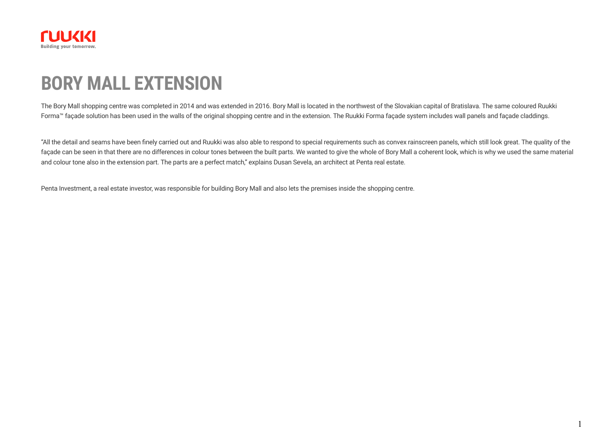

## **BORY MALL EXTENSION**

The Bory Mall shopping centre was completed in 2014 and was extended in 2016. Bory Mall is located in the northwest of the Slovakian capital of Bratislava. The same coloured [Ruukki](https://www.ruukki.com/b2b/products/facade-claddings/facade-systems) [Forma™](https://www.ruukki.com/b2b/products/facade-claddings/facade-systems) façade solution has been used in the walls of the original shopping centre and in the extension. The Ruukki Forma façade system includes wall panels and façade claddings.

"All the detail and seams have been finely carried out and Ruukki was also able to respond to special requirements such as convex rainscreen panels, which still look great. The quality of the façade can be seen in that there are no differences in colour tones between the built parts. We wanted to give the whole of Bory Mall a coherent look, which is why we used the same material and colour tone also in the extension part. The parts are a perfect match," explains Dusan Sevela, an architect at Penta real estate.

Penta Investment, a real estate investor, was responsible for building Bory Mall and also lets the premises inside the shopping centre.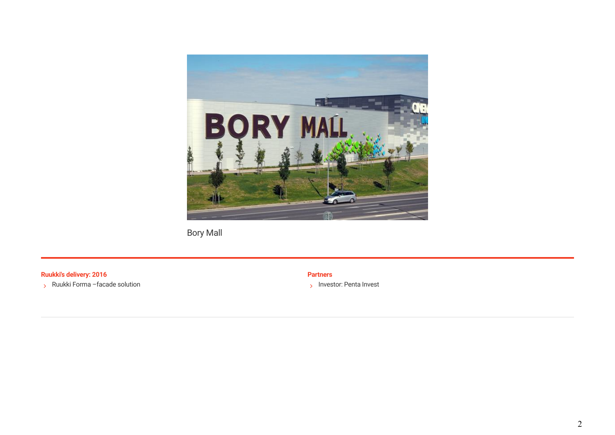

Bory Mall

**Ruukki's delivery: 2016 Partners**

 $\rightarrow$  Ruukki Forma –facade solution

> Investor: Penta Invest